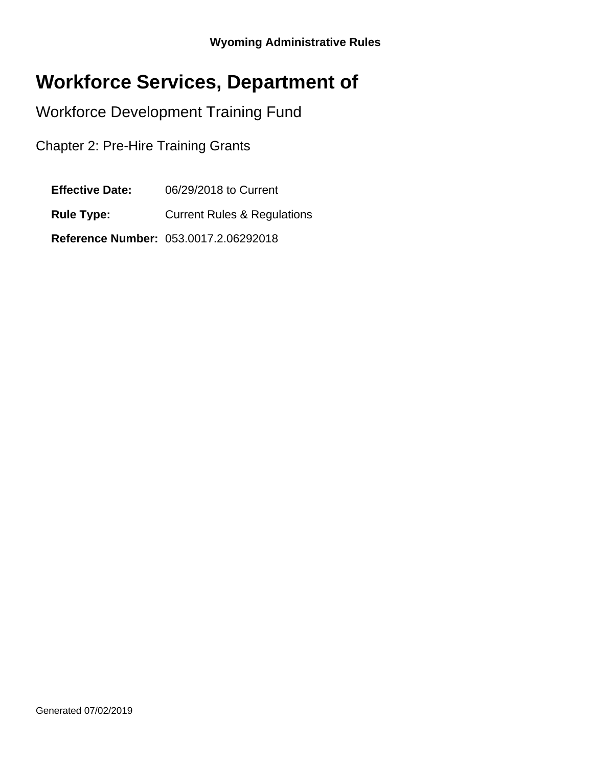# **Workforce Services, Department of**

Workforce Development Training Fund

Chapter 2: Pre-Hire Training Grants

**Effective Date:** 06/29/2018 to Current

**Rule Type:** Current Rules & Regulations

**Reference Number:** 053.0017.2.06292018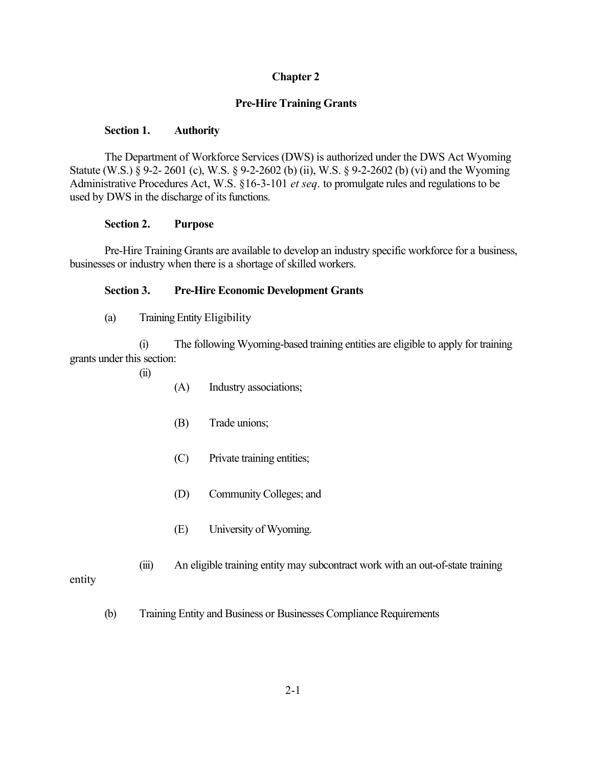# **Chapter 2**

## **Pre-Hire Training Grants**

#### **Section 1. Authority**

The Department of Workforce Services (DWS) is authorized under the DWS Act Wyoming Statute (W.S.) § 9-2- 2601 (c), W.S. § 9-2-2602 (b) (ii), W.S. § 9-2-2602 (b) (vi) and the Wyoming Administrative Procedures Act, W.S. §16-3-101 *et seq*. to promulgate rules and regulationsto be used by DWS in the discharge of its functions.

#### **Section 2. Purpose**

Pre-Hire Training Grants are available to develop an industry specific workforce for a business, businesses or industry when there is a shortage of skilled workers.

## **Section 3. Pre-Hire Economic Development Grants**

(a) TrainingEntity Eligibility

(i) The following Wyoming-based training entities are eligible to apply for training grants under this section:

- (ii)
- (A) Industry associations;
- (B) Trade unions;
- (C) Private training entities;
- (D) Community Colleges; and
- (E) University of Wyoming.
- (iii) An eligible training entity may subcontract work with an out-of-state training

entity

(b) Training Entity and Business or Businesses Compliance Requirements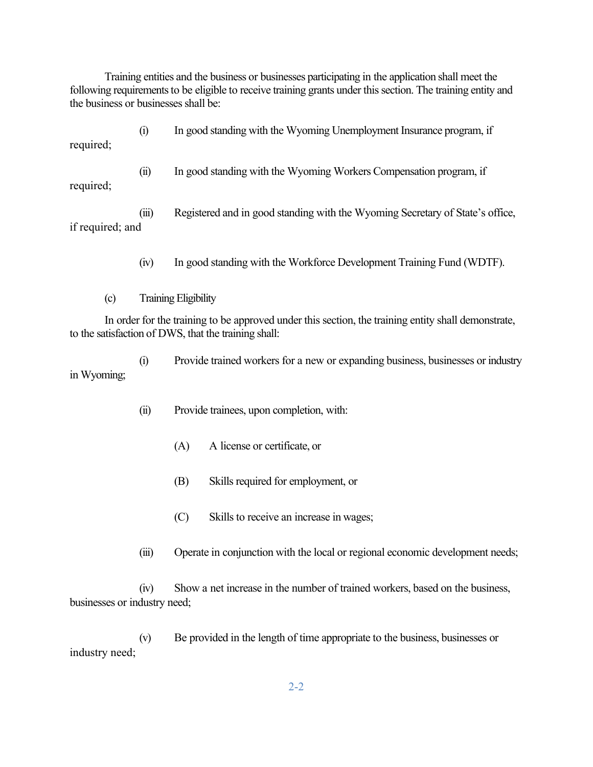Training entities and the business or businesses participating in the application shall meet the following requirements to be eligible to receive training grants under this section. The training entity and the business or businesses shall be:

(i) In good standing with the Wyoming Unemployment Insurance program, if required; (ii) In good standing with the Wyoming Workers Compensation program, if required;

(iii) Registered and in good standing with the Wyoming Secretary of State's office, if required; and

- (iv) In good standing with the Workforce Development Training Fund (WDTF).
- (c) Training Eligibility

In order for the training to be approved under this section, the training entity shall demonstrate, to the satisfaction of DWS, that the training shall:

(i) Provide trained workers for a new or expanding business, businesses or industry in Wyoming;

- (ii) Provide trainees, upon completion, with:
	- (A) A license or certificate, or
	- (B) Skills required for employment, or
	- (C) Skills to receive an increase in wages;
- (iii) Operate in conjunction with the local or regional economic development needs;

(iv) Show a net increase in the number of trained workers, based on the business, businesses or industry need;

(v) Be provided in the length of time appropriate to the business, businesses or industry need;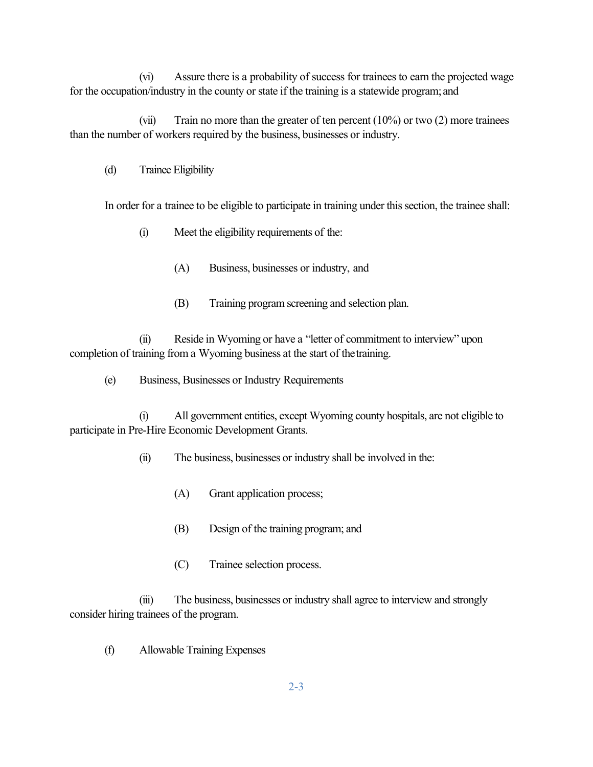(vi) Assure there is a probability of success for trainees to earn the projected wage for the occupation/industry in the county or state if the training is a statewide program; and

(vii) Train no more than the greater of ten percent (10%) or two (2) more trainees than the number of workers required by the business, businesses or industry.

(d) Trainee Eligibility

In order for a trainee to be eligible to participate in training under this section, the trainee shall:

- (i) Meet the eligibility requirements of the:
	- (A) Business, businesses or industry, and
	- (B) Training program screening and selection plan.

(ii) Reside in Wyoming or have a "letter of commitment to interview" upon completion of training from a Wyoming business at the start of thetraining.

(e) Business, Businesses or Industry Requirements

(i) All government entities, except Wyoming county hospitals, are not eligible to participate in Pre-Hire Economic Development Grants.

(ii) The business, businesses or industry shall be involved in the:

- (A) Grant application process;
- (B) Design of the training program; and
- (C) Trainee selection process.

(iii) The business, businesses or industry shall agree to interview and strongly consider hiring trainees of the program.

(f) Allowable Training Expenses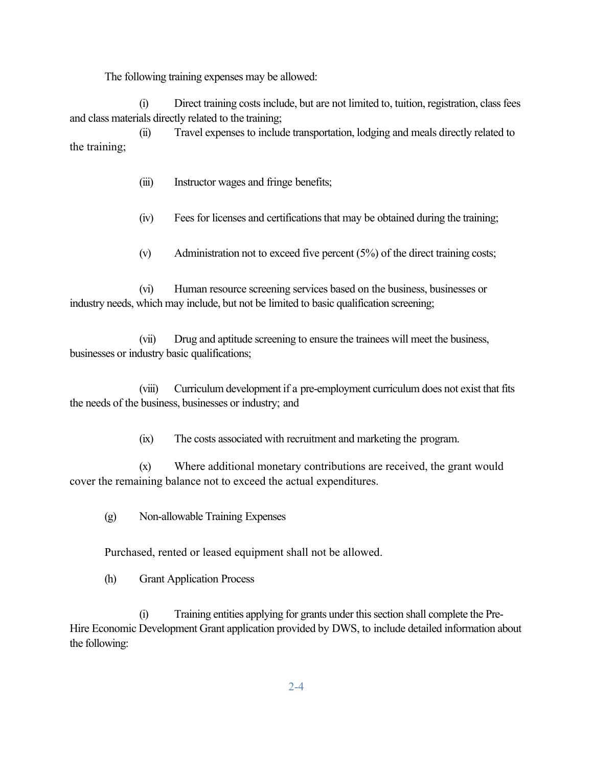The following training expenses may be allowed:

(i) Direct training costsinclude, but are not limited to, tuition, registration, classfees and class materials directly related to the training;

(ii) Travel expensesto include transportation, lodging and meals directly related to the training;

(iii) Instructor wages and fringe benefits;

(iv) Fees for licenses and certifications that may be obtained during the training;

(v) Administration not to exceed five percent (5%) of the direct training costs;

(vi) Human resource screening services based on the business, businesses or industry needs, which may include, but not be limited to basic qualification screening;

(vii) Drug and aptitude screening to ensure the trainees will meet the business, businesses or industry basic qualifications;

(viii) Curriculum development if a pre-employment curriculum does not exist that fits the needs of the business, businesses or industry; and

(ix) The costs associated with recruitment and marketing the program.

(x) Where additional monetary contributions are received, the grant would cover the remaining balance not to exceed the actual expenditures.

(g) Non-allowable Training Expenses

Purchased, rented or leased equipment shall not be allowed.

(h) Grant Application Process

(i) Training entities applying for grants under thissection shall complete the Pre-Hire Economic Development Grant application provided by DWS, to include detailed information about the following: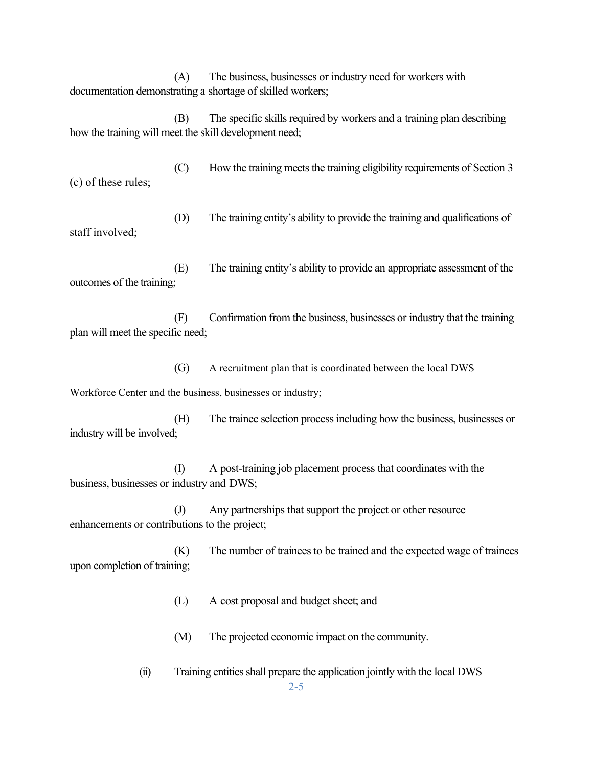(A) The business, businesses or industry need for workers with documentation demonstrating a shortage of skilled workers;

(B) The specific skills required by workers and a training plan describing how the training will meet the skill development need;

 $(C)$  How the training meets the training eligibility requirements of Section 3 (c) of these rules;

(D) The training entity's ability to provide the training and qualifications of staff involved;

(E) The training entity's ability to provide an appropriate assessment of the outcomes of the training;

(F) Confirmation from the business, businesses or industry that the training plan will meet the specific need;

(G) A recruitment plan that is coordinated between the local DWS

Workforce Center and the business, businesses or industry;

(H) The trainee selection processincluding how the business, businesses or industry will be involved;

(I) A post-training job placement process that coordinates with the business, businesses or industry and DWS;

(J) Any partnerships that support the project or other resource enhancements or contributions to the project;

(K) The number of trainees to be trained and the expected wage of trainees upon completion of training;

(L) A cost proposal and budget sheet; and

(M) The projected economic impact on the community.

(ii) Training entitiesshall prepare the application jointly with the local DWS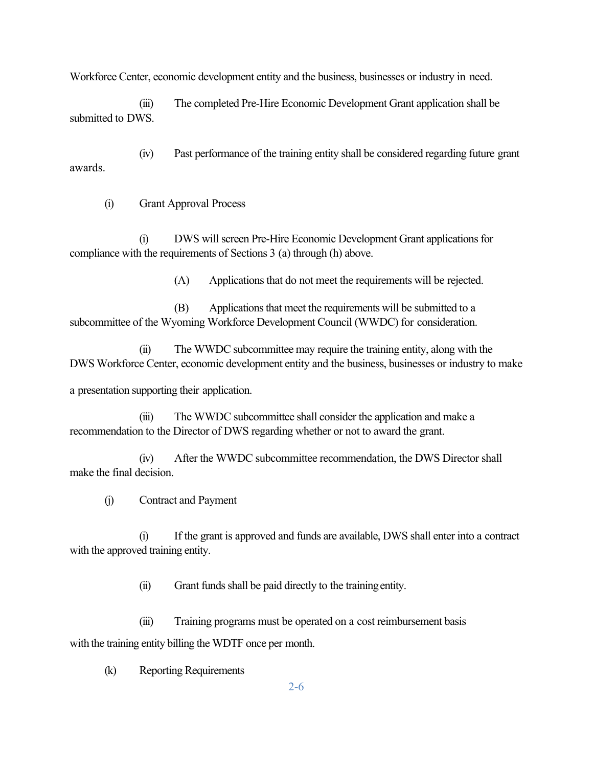Workforce Center, economic development entity and the business, businesses or industry in need.

(iii) The completed Pre-Hire Economic Development Grant application shall be submitted to DWS.

(iv) Past performance of the training entity shall be considered regarding future grant awards.

(i) Grant Approval Process

(i) DWS will screen Pre-Hire Economic Development Grant applicationsfor compliance with the requirements of Sections 3 (a) through (h) above.

(A) Applications that do not meet the requirements will be rejected.

(B) Applications that meet the requirements will be submitted to a subcommittee of the Wyoming Workforce Development Council (WWDC) for consideration.

(ii) The WWDC subcommittee may require the training entity, along with the DWS Workforce Center, economic development entity and the business, businesses or industry to make

a presentation supporting their application.

(iii) The WWDC subcommittee shall consider the application and make a recommendation to the Director of DWS regarding whether or not to award the grant.

(iv) After the WWDC subcommittee recommendation, the DWS Director shall make the final decision.

(j) Contract and Payment

(i) If the grant is approved and funds are available, DWS shall enter into a contract with the approved training entity.

(ii) Grant funds shall be paid directly to the training entity.

(iii) Training programs must be operated on a cost reimbursement basis with the training entity billing the WDTF once per month.

(k) Reporting Requirements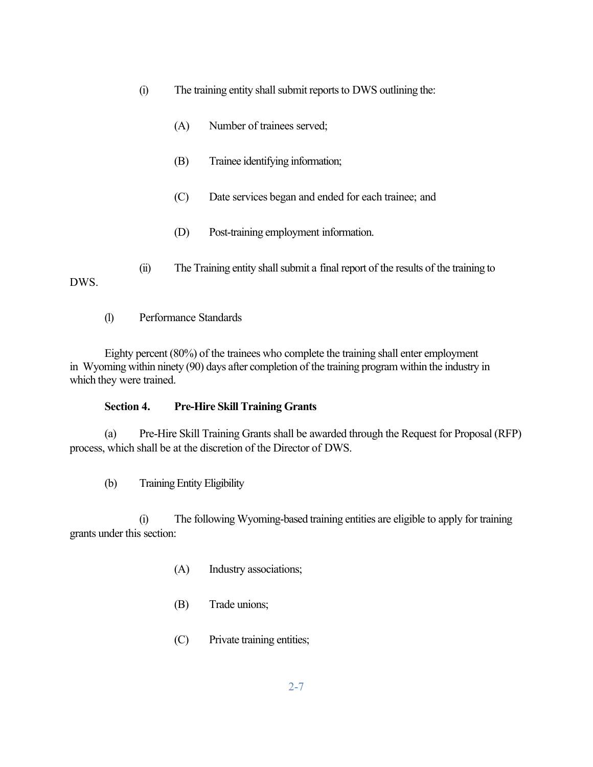- (i) The training entity shall submit reports to DWS outlining the:
	- (A) Number of trainees served;
	- (B) Trainee identifying information;
	- (C) Date services began and ended for each trainee; and
	- (D) Post-training employment information.

(ii) The Training entity shall submit a final report of the results of the training to

(l) Performance Standards

DWS.

Eighty percent (80%) of the trainees who complete the training shall enter employment in Wyoming within ninety (90) days after completion of the training program within the industry in which they were trained.

## **Section 4. Pre-Hire Skill Training Grants**

(a) Pre-Hire Skill Training Grantsshall be awarded through the Request for Proposal (RFP) process, which shall be at the discretion of the Director of DWS.

(b) Training Entity Eligibility

(i) The following Wyoming-based training entities are eligible to apply for training grants under this section:

- (A) Industry associations;
- (B) Trade unions;
- (C) Private training entities;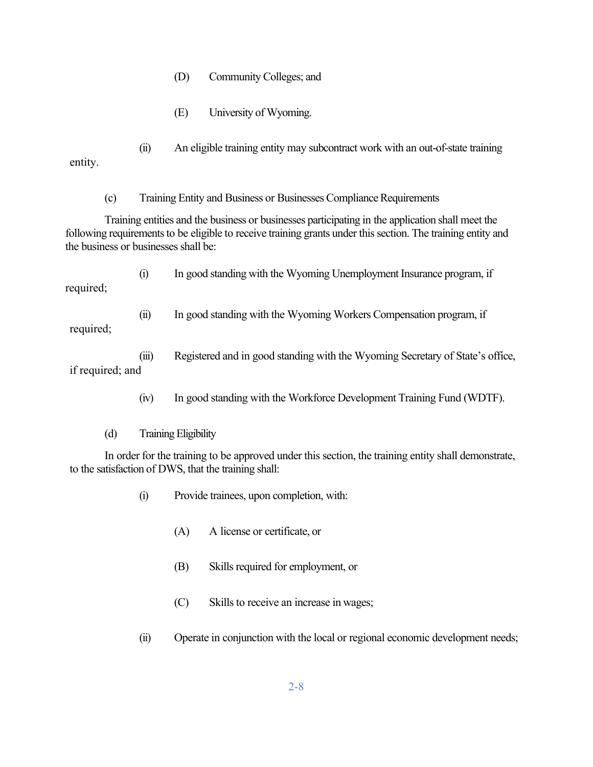- (D) Community Colleges; and
- (E) University of Wyoming.

(ii) An eligible training entity may subcontract work with an out-of-state training entity.

(c) Training Entity and Business or Businesses Compliance Requirements

Training entities and the business or businesses participating in the application shall meet the following requirements to be eligible to receive training grants under this section. The training entity and the business or businesses shall be:

(i) In good standing with the Wyoming Unemployment Insurance program, if required;

(ii) In good standing with the Wyoming Workers Compensation program, if

required;

(iii) Registered and in good standing with the Wyoming Secretary of State's office, if required; and

- (iv) In good standing with the Workforce Development Training Fund (WDTF).
- (d) Training Eligibility

In order for the training to be approved under this section, the training entity shall demonstrate, to the satisfaction of DWS, that the training shall:

- (i) Provide trainees, upon completion, with:
	- (A) A license or certificate, or
	- (B) Skills required for employment, or
	- (C) Skills to receive an increase in wages;
- (ii) Operate in conjunction with the local or regional economic development needs;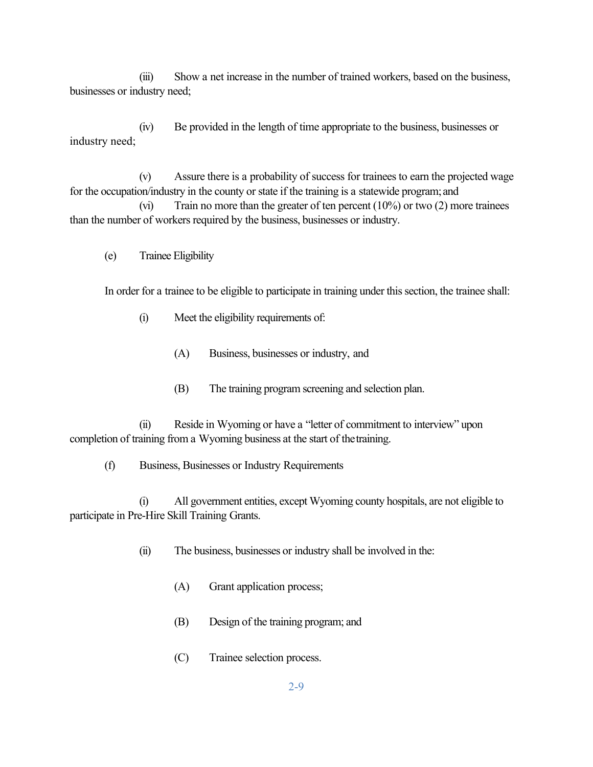(iii) Show a net increase in the number of trained workers, based on the business, businesses or industry need;

(iv) Be provided in the length of time appropriate to the business, businesses or industry need;

 $(v)$  Assure there is a probability of success for trainees to earn the projected wage for the occupation/industry in the county or state if the training is a statewide program; and

(vi) Train no more than the greater of ten percent (10%) or two (2) more trainees than the number of workers required by the business, businesses or industry.

(e) Trainee Eligibility

In order for a trainee to be eligible to participate in training under this section, the trainee shall:

- (i) Meet the eligibility requirements of:
	- (A) Business, businesses or industry, and
	- (B) The training program screening and selection plan.

(ii) Reside in Wyoming or have a "letter of commitment to interview" upon completion of training from a Wyoming business at the start of thetraining.

(f) Business, Businesses or Industry Requirements

(i) All government entities, except Wyoming county hospitals, are not eligible to participate in Pre-Hire Skill Training Grants.

(ii) The business, businesses or industry shall be involved in the:

- (A) Grant application process;
- (B) Design of the training program; and
- (C) Trainee selection process.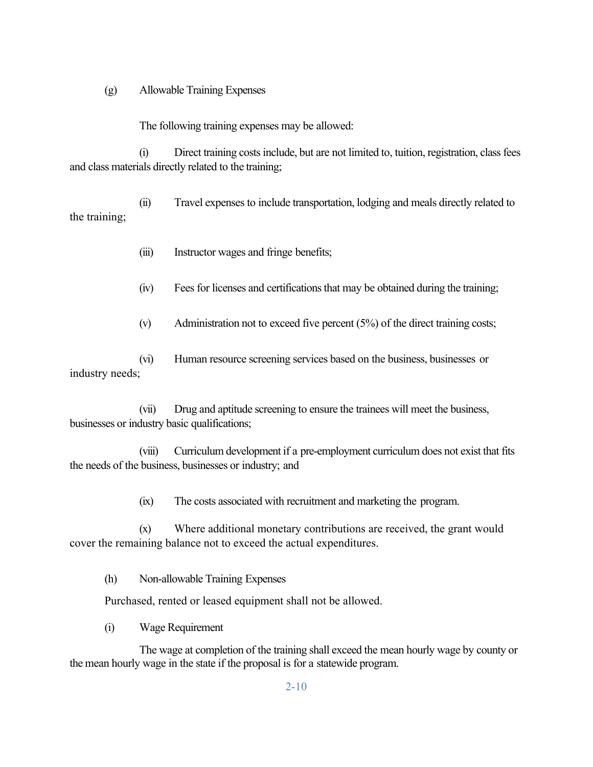(g) Allowable Training Expenses

The following training expenses may be allowed:

(i) Direct training costsinclude, but are not limited to, tuition, registration, classfees and class materials directly related to the training;

(ii) Travel expensesto include transportation, lodging and meals directly related to the training;

- (iii) Instructor wages and fringe benefits;
- (iv) Fees for licenses and certifications that may be obtained during the training;
- (v) Administration not to exceed five percent (5%) of the direct training costs;

(vi) Human resource screening services based on the business, businesses or industry needs;

(vii) Drug and aptitude screening to ensure the trainees will meet the business, businesses or industry basic qualifications;

(viii) Curriculum development if a pre-employment curriculum does not exist that fits the needs of the business, businesses or industry; and

(ix) The costs associated with recruitment and marketing the program.

(x) Where additional monetary contributions are received, the grant would cover the remaining balance not to exceed the actual expenditures.

(h) Non-allowable Training Expenses

Purchased, rented or leased equipment shall not be allowed.

(i) Wage Requirement

The wage at completion of the training shall exceed the mean hourly wage by county or the mean hourly wage in the state if the proposal is for a statewide program.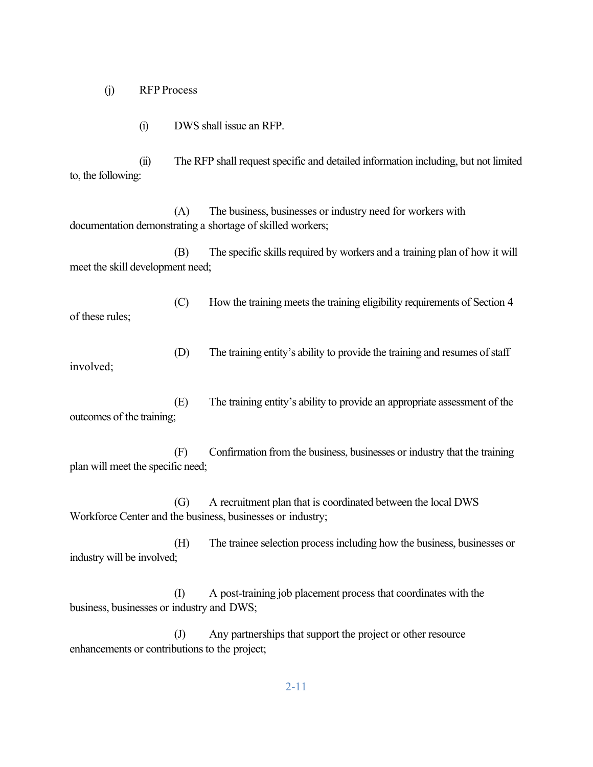(j) RFP Process

(i) DWS shall issue an RFP.

(ii) The RFP shall requestspecific and detailed information including, but not limited to, the following:

(A) The business, businesses or industry need for workers with documentation demonstrating a shortage of skilled workers;

(B) The specific skills required by workers and a training plan of how it will meet the skill development need;

(C) How the training meets the training eligibility requirements of Section 4 of these rules;

(D) The training entity's ability to provide the training and resumes of staff involved;

(E) The training entity's ability to provide an appropriate assessment of the outcomes of the training;

(F) Confirmation from the business, businesses or industry that the training plan will meet the specific need;

(G) A recruitment plan that is coordinated between the local DWS Workforce Center and the business, businesses or industry;

(H) The trainee selection processincluding how the business, businesses or industry will be involved;

(I) A post-training job placement process that coordinates with the business, businesses or industry and DWS;

(J) Any partnerships that support the project or other resource enhancements or contributions to the project;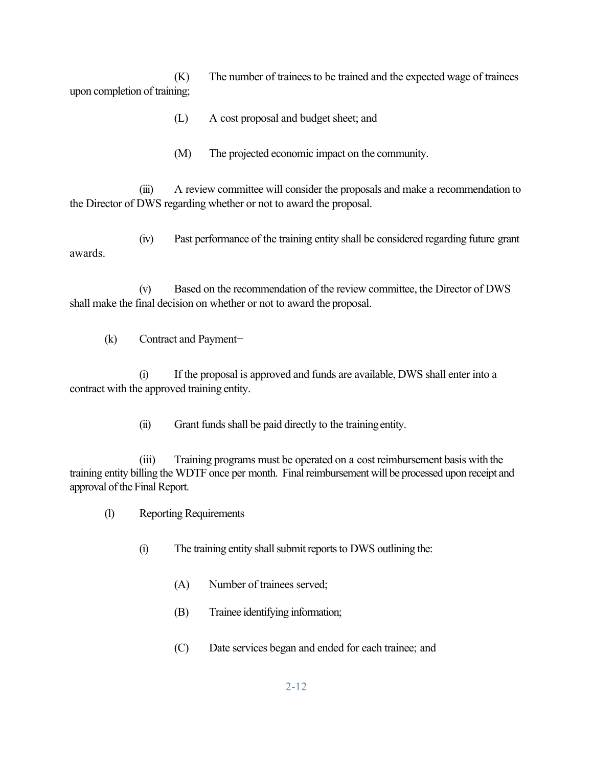(K) The number of trainees to be trained and the expected wage of trainees upon completion of training;

- (L) A cost proposal and budget sheet; and
- (M) The projected economic impact on the community.

(iii) A review committee will consider the proposals and make a recommendation to the Director of DWS regarding whether or not to award the proposal.

(iv) Past performance of the training entity shall be considered regarding future grant awards.

(v) Based on the recommendation of the review committee, the Director of DWS shall make the final decision on whether or not to award the proposal.

(k) Contract and Payment

(i) If the proposal is approved and funds are available, DWS shall enter into a contract with the approved training entity.

(ii) Grant funds shall be paid directly to the training entity.

(iii) Training programs must be operated on a cost reimbursement basis with the training entity billing the WDTF once per month. Finalreimbursement will be processed upon receipt and approval of the Final Report.

- (l) Reporting Requirements
	- (i) The training entity shall submit reports to DWS outlining the:
		- (A) Number of trainees served;
		- (B) Trainee identifying information;
		- (C) Date services began and ended for each trainee; and